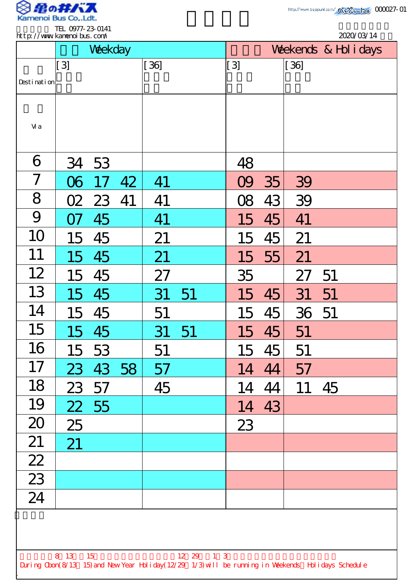

TEL 0977-23-0141

|                 | http://www.kanenoi.bus.com/<br>Weekday |       |    |        |    |              | 2020/03/14<br>Weekends & Hol i days |        |    |  |
|-----------------|----------------------------------------|-------|----|--------|----|--------------|-------------------------------------|--------|----|--|
|                 | [3]                                    |       |    | $[36]$ |    | [[ 3]        |                                     | $[36]$ |    |  |
| Desti nati on   |                                        |       |    |        |    |              |                                     |        |    |  |
| Vi a            |                                        |       |    |        |    |              |                                     |        |    |  |
| 6               |                                        | 34 53 |    |        |    | 48           |                                     |        |    |  |
| $\overline{7}$  | $\Delta$                               |       | 42 | 41     |    |              | 35                                  | 39     |    |  |
| 8               | <u>02</u>                              | 23    | 41 | 41     |    | $\mathbb{R}$ | 43                                  | 39     |    |  |
| 9               |                                        | 45    |    | 41     |    | 15           | 45                                  | 41     |    |  |
| 10              | 15                                     | 45    |    | 21     |    | 15           | 45                                  | 21     |    |  |
| 11              | 15                                     | 45    |    | 21     |    | 15           | 55                                  | 21     |    |  |
| 12              | 15                                     | 45    |    | 27     |    | 35           |                                     | 27     | 51 |  |
| 13              | 15                                     | 45    |    | 31     | 51 | 15           | 45                                  | 31     | 51 |  |
| 14              | 15                                     | 45    |    | 51     |    | 15           | 45                                  | 36 51  |    |  |
| 15              | 15                                     | 45    |    | 31     | 51 | 15           | 45                                  | 51     |    |  |
| 16              | 15                                     | 53    |    | 51     |    | 15           | 45                                  | 51     |    |  |
| 17              | 23                                     | 43 58 |    | 57     |    | 14           | 44                                  | 57     |    |  |
| 18              | 23                                     | 57    |    | 45     |    | 14           | 44                                  | 11     | 45 |  |
| 19              | 22                                     | 55    |    |        |    | 14           | 43                                  |        |    |  |
| 20              | 25                                     |       |    |        |    | 23           |                                     |        |    |  |
| 21              | 21                                     |       |    |        |    |              |                                     |        |    |  |
| $\overline{22}$ |                                        |       |    |        |    |              |                                     |        |    |  |
| $\overline{23}$ |                                        |       |    |        |    |              |                                     |        |    |  |
| 24              |                                        |       |    |        |    |              |                                     |        |    |  |
|                 |                                        |       |    |        |    |              |                                     |        |    |  |
|                 |                                        |       |    |        |    |              |                                     |        |    |  |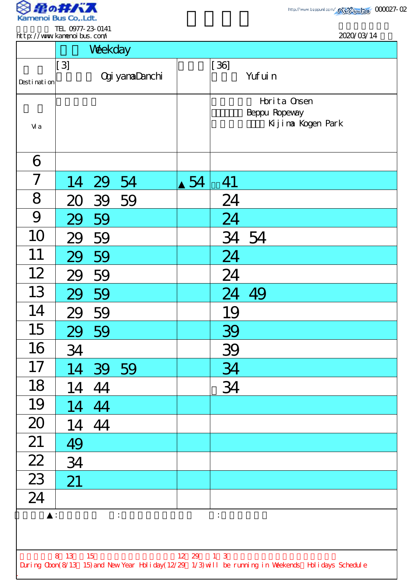

2020/03/14

|                             |  | IEL <i>WIT-23</i> -014 |
|-----------------------------|--|------------------------|
| http://www.kanenoi.bus.com/ |  |                        |
|                             |  |                        |

|                                          |                  | Weekday  |                       |       |             |                                                                                                    |  |
|------------------------------------------|------------------|----------|-----------------------|-------|-------------|----------------------------------------------------------------------------------------------------|--|
| Desti nati on                            | $\left[3\right]$ |          | <b>Ogi yamaDanchi</b> |       | $[36]$      | Yuf ui n                                                                                           |  |
| Vi a                                     |                  |          |                       |       |             | Horita Onsen<br>Beppu Ropevay<br>Kijima Kogen Park                                                 |  |
| 6                                        |                  |          |                       |       |             |                                                                                                    |  |
| $\overline{7}$                           |                  | 14 29 54 |                       | 54    | 41          |                                                                                                    |  |
| 8                                        |                  | 20 39 59 |                       |       | 24          |                                                                                                    |  |
| 9                                        |                  | 29 59    |                       |       | 24          |                                                                                                    |  |
| 10                                       | 29               | 59       |                       |       |             | 34 54                                                                                              |  |
| 11                                       | 29               | 59       |                       |       | 24          |                                                                                                    |  |
| 12                                       | 29               | 59       |                       |       | 24          |                                                                                                    |  |
| 13                                       |                  | 59       |                       |       | 24          |                                                                                                    |  |
| 14                                       |                  | 29 59    |                       |       | 19          |                                                                                                    |  |
| 15                                       |                  | 29 59    |                       |       | 39          |                                                                                                    |  |
| 16                                       | 34               |          |                       |       | 39          |                                                                                                    |  |
| 17                                       |                  | 14 39 59 |                       |       | 34          |                                                                                                    |  |
| 18                                       |                  | 14 44    |                       |       | 34          |                                                                                                    |  |
| 19                                       |                  | 14 44    |                       |       |             |                                                                                                    |  |
| 20                                       |                  | 14 44    |                       |       |             |                                                                                                    |  |
| 21                                       | 49               |          |                       |       |             |                                                                                                    |  |
| $\frac{22}{23}$                          | 34               |          |                       |       |             |                                                                                                    |  |
|                                          | 21               |          |                       |       |             |                                                                                                    |  |
| 24                                       |                  |          |                       |       |             |                                                                                                    |  |
| $\ddot{\ddot{}}$<br>$\ddot{\phantom{a}}$ |                  |          |                       |       |             |                                                                                                    |  |
|                                          |                  |          |                       |       |             |                                                                                                    |  |
|                                          | 8 13             | 15       |                       | 12 29 | $1 \quad 3$ | During Obon(8/13 15) and New Year Holiday(12/29 1/3) will be running in Weekends Holidays Schedule |  |
|                                          |                  |          |                       |       |             |                                                                                                    |  |